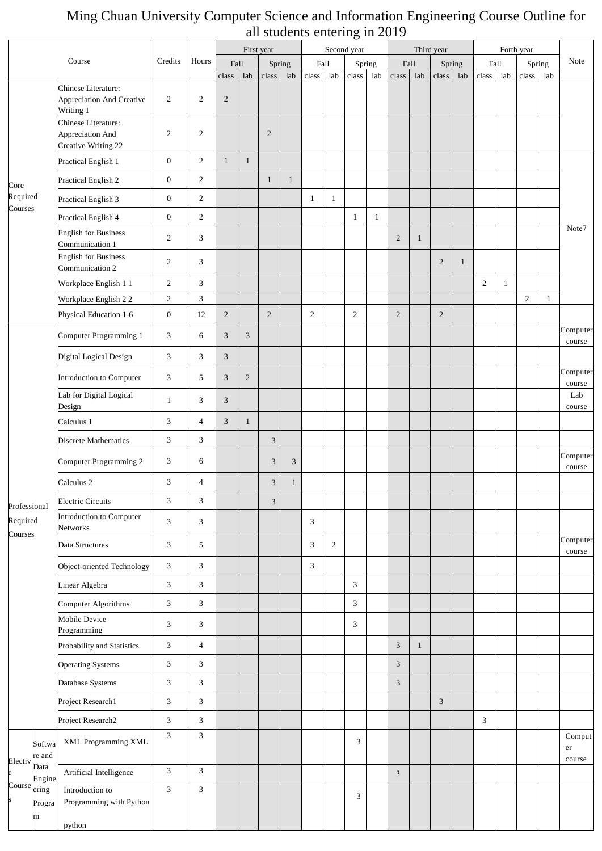## Ming Chuan University Computer Science and Information Engineering Course Outline for all students entering in 2019

|                           |                                                                      |                  |                  | First year              |                |                             |                           | Second year    |              |                             |              |                |                           | Third year     |              |                |               |                |     |                                     |
|---------------------------|----------------------------------------------------------------------|------------------|------------------|-------------------------|----------------|-----------------------------|---------------------------|----------------|--------------|-----------------------------|--------------|----------------|---------------------------|----------------|--------------|----------------|---------------|----------------|-----|-------------------------------------|
|                           | Course                                                               | Credits          | Hours            | Fall                    |                |                             | Spring                    |                | Fall         |                             | Spring       |                | Fall                      |                | Spring       |                | $_{\rm Fall}$ | Spring         |     | Note                                |
|                           | Chinese Literature:<br><b>Appreciation And Creative</b><br>Writing 1 | $\overline{2}$   | $\mathfrak{2}$   | class<br>$\overline{2}$ | $\rm lab$      | class                       | $\ensuremath{\text{lab}}$ | class          | $\rm lab$    | class                       | lab          | class          | $\ensuremath{\text{lab}}$ | class          | $\rm lab$    | class          | lab           | class          | lab |                                     |
|                           | Chinese Literature:<br>Appreciation And<br>Creative Writing 22       | $\overline{2}$   | $\mathfrak{2}$   |                         |                | $\mathbf{2}$                |                           |                |              |                             |              |                |                           |                |              |                |               |                |     |                                     |
|                           | Practical English 1                                                  | $\boldsymbol{0}$ | $\mathbf{2}$     | $\mathbf{1}$            | $\mathbf{1}$   |                             |                           |                |              |                             |              |                |                           |                |              |                |               |                |     |                                     |
| Core                      | Practical English 2                                                  | $\boldsymbol{0}$ | $\overline{c}$   |                         |                | $\mathbf{1}$                | $\mathbf{1}$              |                |              |                             |              |                |                           |                |              |                |               |                |     |                                     |
| Required                  | Practical English 3                                                  | $\boldsymbol{0}$ | $\overline{2}$   |                         |                |                             |                           | 1              | $\mathbf{1}$ |                             |              |                |                           |                |              |                |               |                |     |                                     |
| Courses                   | Practical English 4                                                  | $\boldsymbol{0}$ | $\boldsymbol{2}$ |                         |                |                             |                           |                |              | $\mathbf{1}$                | $\mathbf{1}$ |                |                           |                |              |                |               |                |     |                                     |
|                           | <b>English for Business</b><br>Communication 1                       | $\overline{2}$   | 3                |                         |                |                             |                           |                |              |                             |              | $\overline{2}$ | $\mathbf{1}$              |                |              |                |               |                |     | Note7                               |
|                           | <b>English for Business</b><br>Communication 2                       | $\sqrt{2}$       | 3                |                         |                |                             |                           |                |              |                             |              |                |                           | $\overline{c}$ | $\mathbf{1}$ |                |               |                |     |                                     |
|                           | Workplace English 1 1                                                | $\sqrt{2}$       | 3                |                         |                |                             |                           |                |              |                             |              |                |                           |                |              | $\overline{2}$ | 1             |                |     |                                     |
|                           | Workplace English 22                                                 | $\sqrt{2}$       | $\mathfrak{Z}$   |                         |                |                             |                           |                |              |                             |              |                |                           |                |              |                |               | $\mathfrak{2}$ | 1   |                                     |
|                           | Physical Education 1-6                                               | $\boldsymbol{0}$ | 12               | $\overline{2}$          |                | $\overline{2}$              |                           | $\overline{2}$ |              | 2                           |              | $\overline{2}$ |                           | $\overline{2}$ |              |                |               |                |     |                                     |
|                           | Computer Programming 1                                               | 3                | 6                | 3                       | 3              |                             |                           |                |              |                             |              |                |                           |                |              |                |               |                |     | Computer<br>course                  |
|                           | Digital Logical Design                                               | $\sqrt{3}$       | 3                | $\overline{3}$          |                |                             |                           |                |              |                             |              |                |                           |                |              |                |               |                |     |                                     |
|                           | Introduction to Computer                                             | $\mathfrak{Z}$   | 5                | 3                       | $\overline{2}$ |                             |                           |                |              |                             |              |                |                           |                |              |                |               |                |     | Computer<br>${\tt course}$          |
|                           | Lab for Digital Logical<br>Design                                    | $\mathbf{1}$     | 3                | 3                       |                |                             |                           |                |              |                             |              |                |                           |                |              |                |               |                |     | Lab<br>course                       |
|                           | Calculus 1                                                           | 3                | $\overline{4}$   | 3                       | $\mathbf{1}$   |                             |                           |                |              |                             |              |                |                           |                |              |                |               |                |     |                                     |
|                           | Discrete Mathematics                                                 | 3                | 3                |                         |                | $\ensuremath{\mathfrak{Z}}$ |                           |                |              |                             |              |                |                           |                |              |                |               |                |     |                                     |
|                           | Computer Programming 2                                               | $\mathfrak{Z}$   | 6                |                         |                | 3                           | 3                         |                |              |                             |              |                |                           |                |              |                |               |                |     | Computer<br>$\operatorname{course}$ |
|                           | Calculus <sub>2</sub>                                                | $\sqrt{3}$       | $\overline{4}$   |                         |                | $\mathfrak{Z}$              | $\mathbf{1}$              |                |              |                             |              |                |                           |                |              |                |               |                |     |                                     |
| Professional              | <b>Electric Circuits</b>                                             | 3                | 3                |                         |                | $\mathfrak{Z}$              |                           |                |              |                             |              |                |                           |                |              |                |               |                |     |                                     |
| Required                  | Introduction to Computer<br>Networks                                 | $\sqrt{3}$       | 3                |                         |                |                             |                           | 3              |              |                             |              |                |                           |                |              |                |               |                |     |                                     |
| Courses                   | Data Structures                                                      | $\mathfrak{Z}$   | 5                |                         |                |                             |                           | 3              | 2            |                             |              |                |                           |                |              |                |               |                |     | Computer<br>course                  |
|                           | Object-oriented Technology                                           | $\sqrt{3}$       | 3                |                         |                |                             |                           | $\mathfrak{Z}$ |              |                             |              |                |                           |                |              |                |               |                |     |                                     |
|                           | Linear Algebra                                                       | $\sqrt{3}$       | 3                |                         |                |                             |                           |                |              | $\mathfrak{Z}$              |              |                |                           |                |              |                |               |                |     |                                     |
|                           | Computer Algorithms                                                  | $\sqrt{3}$       | $\mathfrak{Z}$   |                         |                |                             |                           |                |              | $\mathfrak{Z}$              |              |                |                           |                |              |                |               |                |     |                                     |
|                           | Mobile Device<br>Programming                                         | $\mathfrak{Z}$   | $\mathfrak{Z}$   |                         |                |                             |                           |                |              | $\ensuremath{\mathfrak{Z}}$ |              |                |                           |                |              |                |               |                |     |                                     |
|                           | Probability and Statistics                                           | $\mathfrak{Z}$   | $\overline{4}$   |                         |                |                             |                           |                |              |                             |              | $\mathfrak{Z}$ | $\mathbf{1}$              |                |              |                |               |                |     |                                     |
|                           | <b>Operating Systems</b>                                             | $\sqrt{3}$       | 3                |                         |                |                             |                           |                |              |                             |              | 3              |                           |                |              |                |               |                |     |                                     |
|                           | Database Systems                                                     | $\mathfrak{Z}$   | 3                |                         |                |                             |                           |                |              |                             |              | $\mathfrak{Z}$ |                           |                |              |                |               |                |     |                                     |
|                           | Project Research1                                                    | $\mathfrak{Z}$   | $\mathfrak{Z}$   |                         |                |                             |                           |                |              |                             |              |                |                           | $\sqrt{3}$     |              |                |               |                |     |                                     |
|                           | Project Research2                                                    | $\mathfrak{Z}$   | $\mathfrak{Z}$   |                         |                |                             |                           |                |              |                             |              |                |                           |                |              | 3              |               |                |     |                                     |
| Softwa                    | XML Programming XML                                                  | $\sqrt{3}$       | $\mathfrak{Z}$   |                         |                |                             |                           |                |              | $\mathfrak{Z}$              |              |                |                           |                |              |                |               |                |     | Comput<br>er                        |
| re and<br>Electiv<br>Data | Artificial Intelligence                                              | $\sqrt{3}$       | $\mathfrak{Z}$   |                         |                |                             |                           |                |              |                             |              |                |                           |                |              |                |               |                |     | course                              |
| Engine<br>Course<br>ering | Introduction to                                                      | $\sqrt{3}$       | $\mathfrak{Z}$   |                         |                |                             |                           |                |              |                             |              | 3              |                           |                |              |                |               |                |     |                                     |
| Progra                    | Programming with Python                                              |                  |                  |                         |                |                             |                           |                |              | 3                           |              |                |                           |                |              |                |               |                |     |                                     |
| m                         | python                                                               |                  |                  |                         |                |                             |                           |                |              |                             |              |                |                           |                |              |                |               |                |     |                                     |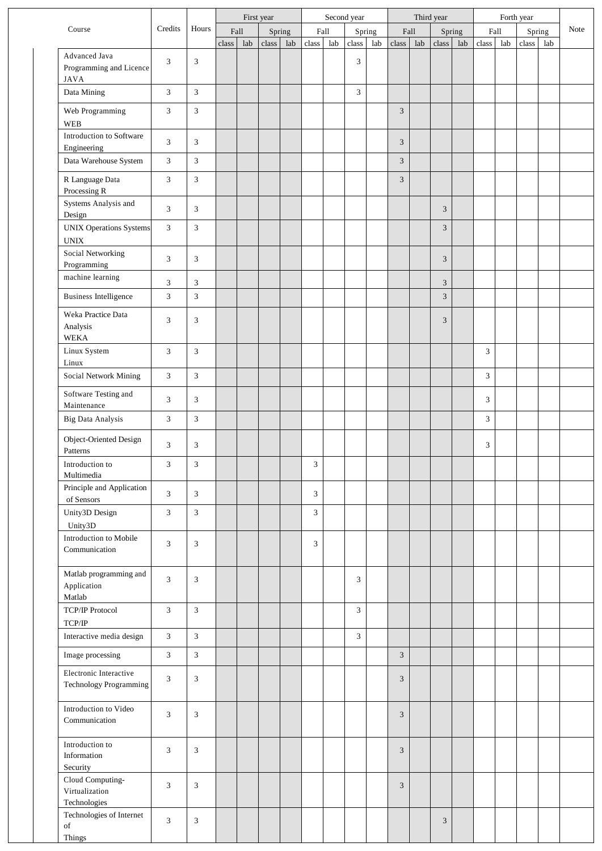|                                                                                                                                          |                |                             | First year     |     |       |     | Second year                 |     |                |     |                | Third year |                        |           |       |     |                      |     |      |
|------------------------------------------------------------------------------------------------------------------------------------------|----------------|-----------------------------|----------------|-----|-------|-----|-----------------------------|-----|----------------|-----|----------------|------------|------------------------|-----------|-------|-----|----------------------|-----|------|
| Course                                                                                                                                   | Credits        | Hours                       | Fall<br>Spring |     |       |     | Fall                        |     | Spring         |     | Fall           |            |                        | Spring    | Fall  |     | Forth year<br>Spring |     | Note |
|                                                                                                                                          |                |                             | class          | lab | class | lab | class                       | lab | class          | lab | class          | lab        | $\operatorname{class}$ | $\rm lab$ | class | lab | class                | lab |      |
| Advanced Java<br>Programming and Licence<br><b>JAVA</b>                                                                                  | 3              | 3                           |                |     |       |     |                             |     | $\mathfrak{Z}$ |     |                |            |                        |           |       |     |                      |     |      |
| Data Mining                                                                                                                              | $\mathfrak{Z}$ | 3                           |                |     |       |     |                             |     | 3              |     |                |            |                        |           |       |     |                      |     |      |
| Web Programming<br><b>WEB</b>                                                                                                            | 3              | 3                           |                |     |       |     |                             |     |                |     | $\mathfrak{Z}$ |            |                        |           |       |     |                      |     |      |
| Introduction to Software<br>Engineering                                                                                                  | 3              | 3                           |                |     |       |     |                             |     |                |     | 3              |            |                        |           |       |     |                      |     |      |
| Data Warehouse System                                                                                                                    | 3              | 3                           |                |     |       |     |                             |     |                |     | $\overline{3}$ |            |                        |           |       |     |                      |     |      |
| R Language Data<br>Processing R                                                                                                          | $\mathfrak{Z}$ | 3                           |                |     |       |     |                             |     |                |     | $\overline{3}$ |            |                        |           |       |     |                      |     |      |
| Systems Analysis and<br>Design                                                                                                           | 3              | 3                           |                |     |       |     |                             |     |                |     |                |            | 3                      |           |       |     |                      |     |      |
| <b>UNIX Operations Systems</b><br>$\ensuremath{\text{UNIX}}$                                                                             | 3              | 3                           |                |     |       |     |                             |     |                |     |                |            | 3                      |           |       |     |                      |     |      |
| Social Networking<br>Programming                                                                                                         | 3              | 3                           |                |     |       |     |                             |     |                |     |                |            | 3                      |           |       |     |                      |     |      |
| machine learning                                                                                                                         | 3              | 3                           |                |     |       |     |                             |     |                |     |                |            | $\mathfrak{Z}$         |           |       |     |                      |     |      |
| <b>Business Intelligence</b>                                                                                                             | 3              | 3                           |                |     |       |     |                             |     |                |     |                |            | 3                      |           |       |     |                      |     |      |
| Weka Practice Data<br>Analysis<br><b>WEKA</b>                                                                                            | 3              | 3                           |                |     |       |     |                             |     |                |     |                |            | 3                      |           |       |     |                      |     |      |
| Linux System                                                                                                                             | 3              | 3                           |                |     |       |     |                             |     |                |     |                |            |                        |           | 3     |     |                      |     |      |
| Linux<br>Social Network Mining                                                                                                           | 3              | $\mathfrak{Z}$              |                |     |       |     |                             |     |                |     |                |            |                        |           | 3     |     |                      |     |      |
| Software Testing and<br>Maintenance                                                                                                      | 3              | 3                           |                |     |       |     |                             |     |                |     |                |            |                        |           | 3     |     |                      |     |      |
| Big Data Analysis                                                                                                                        | 3              | 3                           |                |     |       |     |                             |     |                |     |                |            |                        |           | 3     |     |                      |     |      |
| Object-Oriented Design<br>Patterns                                                                                                       | 3              | 3                           |                |     |       |     |                             |     |                |     |                |            |                        |           | 3     |     |                      |     |      |
| Introduction to<br>Multimedia                                                                                                            | $\mathfrak{Z}$ | 3                           |                |     |       |     | $\ensuremath{\mathfrak{Z}}$ |     |                |     |                |            |                        |           |       |     |                      |     |      |
| Principle and Application<br>of Sensors                                                                                                  | 3              | 3                           |                |     |       |     | 3                           |     |                |     |                |            |                        |           |       |     |                      |     |      |
| Unity3D Design<br>Unity3D                                                                                                                | 3              | 3                           |                |     |       |     | 3                           |     |                |     |                |            |                        |           |       |     |                      |     |      |
| Introduction to Mobile<br>Communication                                                                                                  | 3              | 3                           |                |     |       |     | 3                           |     |                |     |                |            |                        |           |       |     |                      |     |      |
| Matlab programming and<br>Application<br>$\mathbf{Matlab}$                                                                               | 3              | 3                           |                |     |       |     |                             |     | 3              |     |                |            |                        |           |       |     |                      |     |      |
| <b>TCP/IP Protocol</b><br>$\ensuremath{\mathsf{TCP}}\xspace/\ensuremath{\mathsf{IP}}\xspace$                                             | 3              | 3                           |                |     |       |     |                             |     | 3              |     |                |            |                        |           |       |     |                      |     |      |
| Interactive media design                                                                                                                 | $\overline{3}$ | $\overline{3}$              |                |     |       |     |                             |     | $\mathfrak{Z}$ |     |                |            |                        |           |       |     |                      |     |      |
| Image processing                                                                                                                         | $\mathfrak{Z}$ | $\mathfrak{Z}$              |                |     |       |     |                             |     |                |     | $\overline{3}$ |            |                        |           |       |     |                      |     |      |
| Electronic Interactive<br>Technology Programming                                                                                         | 3              | 3                           |                |     |       |     |                             |     |                |     | 3              |            |                        |           |       |     |                      |     |      |
| Introduction to Video<br>Communication                                                                                                   | 3              | 3                           |                |     |       |     |                             |     |                |     | 3              |            |                        |           |       |     |                      |     |      |
| Introduction to<br>Information<br>Security                                                                                               | 3              | 3                           |                |     |       |     |                             |     |                |     | $\mathfrak{Z}$ |            |                        |           |       |     |                      |     |      |
| Cloud Computing-<br>Virtualization<br>Technologies                                                                                       | 3              | $\ensuremath{\mathfrak{Z}}$ |                |     |       |     |                             |     |                |     | 3              |            |                        |           |       |     |                      |     |      |
| Technologies of Internet<br>$% \left( \left( \mathcal{A},\mathcal{A}\right) \right) =\left( \mathcal{A},\mathcal{A}\right)$ of<br>Things | 3              | 3                           |                |     |       |     |                             |     |                |     |                |            | 3                      |           |       |     |                      |     |      |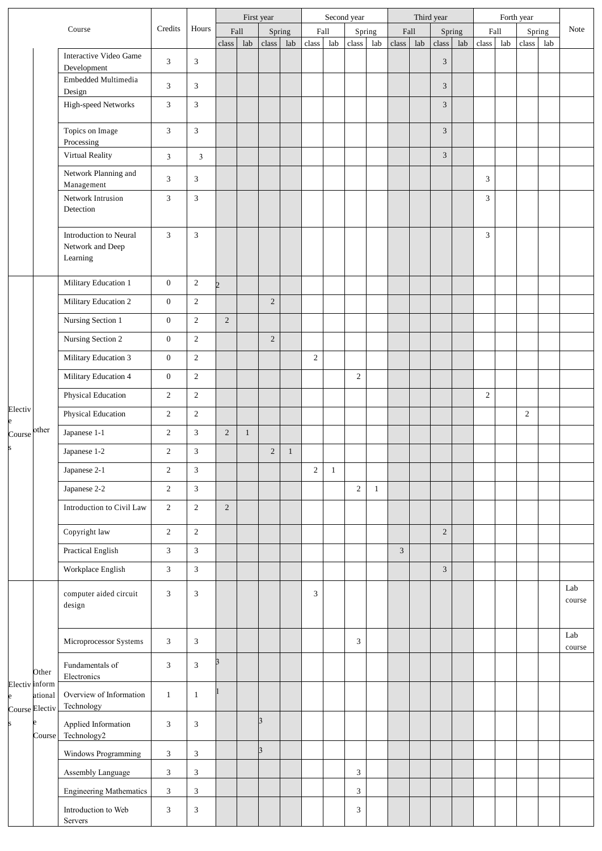|                                       |         |                                                        |                         |                |                        | First year                                 |                |                 |                                         | Second year  |                        |               |                                         | Third year |                                  |       |                |                      |                                  |     |                                |
|---------------------------------------|---------|--------------------------------------------------------|-------------------------|----------------|------------------------|--------------------------------------------|----------------|-----------------|-----------------------------------------|--------------|------------------------|---------------|-----------------------------------------|------------|----------------------------------|-------|----------------|----------------------|----------------------------------|-----|--------------------------------|
|                                       |         | Course                                                 | Credits                 | Hours          | $\operatorname{class}$ | $_{\rm Fall}$<br>$\ensuremath{\text{lab}}$ | class          | Spring<br>$1ab$ | $_{\rm Fall}$<br>$\operatorname{class}$ | lab          | $\operatorname{class}$ | Spring<br>lab | $_{\rm Fall}$<br>$\operatorname{class}$ | lab        | Spring<br>$\operatorname{class}$ | $1ab$ | class          | $_{\rm Fall}$<br>lab | Spring<br>$\operatorname{class}$ | lab | Note                           |
|                                       |         | Interactive Video Game<br>Development                  | $\mathfrak{Z}$          | 3              |                        |                                            |                |                 |                                         |              |                        |               |                                         |            | $\mathfrak{Z}$                   |       |                |                      |                                  |     |                                |
|                                       |         | Embedded Multimedia<br>Design                          | 3                       | 3              |                        |                                            |                |                 |                                         |              |                        |               |                                         |            | $\mathfrak{Z}$                   |       |                |                      |                                  |     |                                |
|                                       |         | High-speed Networks                                    | $\mathfrak{Z}$          | $\overline{3}$ |                        |                                            |                |                 |                                         |              |                        |               |                                         |            | $\mathfrak{Z}$                   |       |                |                      |                                  |     |                                |
|                                       |         | Topics on Image<br>Processing                          | $\mathfrak{Z}$          | $\mathfrak{Z}$ |                        |                                            |                |                 |                                         |              |                        |               |                                         |            | $\mathfrak{Z}$                   |       |                |                      |                                  |     |                                |
|                                       |         | Virtual Reality                                        | $\mathfrak{Z}$          | $\mathfrak{Z}$ |                        |                                            |                |                 |                                         |              |                        |               |                                         |            | $\overline{3}$                   |       |                |                      |                                  |     |                                |
|                                       |         | Network Planning and<br>Management                     | 3                       | $\mathfrak{Z}$ |                        |                                            |                |                 |                                         |              |                        |               |                                         |            |                                  |       | 3              |                      |                                  |     |                                |
|                                       |         | Network Intrusion<br>Detection                         | 3                       | $\mathfrak{Z}$ |                        |                                            |                |                 |                                         |              |                        |               |                                         |            |                                  |       | $\mathfrak{Z}$ |                      |                                  |     |                                |
|                                       |         | Introduction to Neural<br>Network and Deep<br>Learning | $\mathfrak{Z}$          | $\mathfrak{Z}$ |                        |                                            |                |                 |                                         |              |                        |               |                                         |            |                                  |       | 3              |                      |                                  |     |                                |
|                                       |         | Military Education 1                                   | $\boldsymbol{0}$        | $\overline{c}$ | $\mathcal{D}_{\cdot}$  |                                            |                |                 |                                         |              |                        |               |                                         |            |                                  |       |                |                      |                                  |     |                                |
|                                       |         | Military Education 2                                   | $\boldsymbol{0}$        | $\overline{2}$ |                        |                                            | $\sqrt{2}$     |                 |                                         |              |                        |               |                                         |            |                                  |       |                |                      |                                  |     |                                |
|                                       |         | Nursing Section 1                                      | $\boldsymbol{0}$        | $\overline{c}$ | $\overline{2}$         |                                            |                |                 |                                         |              |                        |               |                                         |            |                                  |       |                |                      |                                  |     |                                |
|                                       |         | Nursing Section 2                                      | $\boldsymbol{0}$        | $\sqrt{2}$     |                        |                                            | $\overline{2}$ |                 |                                         |              |                        |               |                                         |            |                                  |       |                |                      |                                  |     |                                |
|                                       |         | Military Education 3                                   | $\boldsymbol{0}$        | $\sqrt{2}$     |                        |                                            |                |                 | $\overline{c}$                          |              |                        |               |                                         |            |                                  |       |                |                      |                                  |     |                                |
|                                       |         | Military Education 4                                   | $\boldsymbol{0}$        | $\overline{c}$ |                        |                                            |                |                 |                                         |              | $\sqrt{2}$             |               |                                         |            |                                  |       |                |                      |                                  |     |                                |
|                                       |         | Physical Education                                     | $\sqrt{2}$              | $\overline{2}$ |                        |                                            |                |                 |                                         |              |                        |               |                                         |            |                                  |       | $\sqrt{2}$     |                      |                                  |     |                                |
| Electiv<br>ė                          |         | Physical Education                                     | $\sqrt{2}$              | $\overline{c}$ |                        |                                            |                |                 |                                         |              |                        |               |                                         |            |                                  |       |                |                      | $\overline{2}$                   |     |                                |
| Course other                          |         | Japanese 1-1                                           | $\sqrt{2}$              | 3 <sup>1</sup> | 2                      | $\mathbf{1}$                               |                |                 |                                         |              |                        |               |                                         |            |                                  |       |                |                      |                                  |     |                                |
| S                                     |         | Japanese 1-2                                           | $\overline{2}$          | 3 <sup>1</sup> |                        |                                            | $\sqrt{2}$     | $\mathbf{1}$    |                                         |              |                        |               |                                         |            |                                  |       |                |                      |                                  |     |                                |
|                                       |         | Japanese 2-1                                           | $\sqrt{2}$              | $\mathfrak{Z}$ |                        |                                            |                |                 | $\sqrt{2}$                              | $\mathbf{1}$ |                        |               |                                         |            |                                  |       |                |                      |                                  |     |                                |
|                                       |         | Japanese 2-2                                           | $\sqrt{2}$              | $\overline{3}$ |                        |                                            |                |                 |                                         |              | $\sqrt{2}$             | $\mathbf{1}$  |                                         |            |                                  |       |                |                      |                                  |     |                                |
|                                       |         | Introduction to Civil Law                              | $\sqrt{2}$              | $\sqrt{2}$     | $\overline{2}$         |                                            |                |                 |                                         |              |                        |               |                                         |            |                                  |       |                |                      |                                  |     |                                |
|                                       |         | Copyright law                                          | $\sqrt{2}$              | $\sqrt{2}$     |                        |                                            |                |                 |                                         |              |                        |               |                                         |            | $\overline{2}$                   |       |                |                      |                                  |     |                                |
|                                       |         | Practical English                                      | $\mathfrak{Z}$          | $\mathbf{3}$   |                        |                                            |                |                 |                                         |              |                        |               | $\mathfrak{Z}$                          |            |                                  |       |                |                      |                                  |     |                                |
|                                       |         | Workplace English                                      | $\overline{\mathbf{3}}$ | $\mathbf{3}$   |                        |                                            |                |                 |                                         |              |                        |               |                                         |            | $\overline{3}$                   |       |                |                      |                                  |     |                                |
|                                       |         | computer aided circuit<br>design                       | 3                       | $\mathfrak{Z}$ |                        |                                            |                |                 | $\mathfrak{Z}$                          |              |                        |               |                                         |            |                                  |       |                |                      |                                  |     | Lab<br>course                  |
|                                       |         | Microprocessor Systems                                 | $\mathfrak{Z}$          | $\mathfrak{Z}$ |                        |                                            |                |                 |                                         |              | 3                      |               |                                         |            |                                  |       |                |                      |                                  |     | Lab<br>$\operatorname{course}$ |
|                                       | Other   | Fundamentals of<br>Electronics                         | $\mathfrak{Z}$          | $\mathfrak{Z}$ | 3                      |                                            |                |                 |                                         |              |                        |               |                                         |            |                                  |       |                |                      |                                  |     |                                |
| Electiv inform<br>e<br>Course Electiv | ational | Overview of Information<br>Technology                  | $\mathbf{1}$            | $\mathbf{1}$   |                        |                                            |                |                 |                                         |              |                        |               |                                         |            |                                  |       |                |                      |                                  |     |                                |
| s                                     | Course  | Applied Information<br>Technology2                     | $\mathfrak{Z}$          | $\mathfrak{Z}$ |                        |                                            | $\beta$        |                 |                                         |              |                        |               |                                         |            |                                  |       |                |                      |                                  |     |                                |
|                                       |         | Windows Programming                                    | $\sqrt{3}$              | $\mathfrak{Z}$ |                        |                                            | $\beta$        |                 |                                         |              |                        |               |                                         |            |                                  |       |                |                      |                                  |     |                                |
|                                       |         | Assembly Language                                      | $\mathfrak{Z}$          | $\mathfrak{Z}$ |                        |                                            |                |                 |                                         |              | $\mathfrak{Z}$         |               |                                         |            |                                  |       |                |                      |                                  |     |                                |
|                                       |         | <b>Engineering Mathematics</b>                         | $\mathfrak{Z}$          | $\mathfrak{Z}$ |                        |                                            |                |                 |                                         |              | $\mathfrak{Z}$         |               |                                         |            |                                  |       |                |                      |                                  |     |                                |
|                                       |         | Introduction to Web<br>Servers                         | $\mathfrak{Z}$          | $\mathfrak{Z}$ |                        |                                            |                |                 |                                         |              | 3                      |               |                                         |            |                                  |       |                |                      |                                  |     |                                |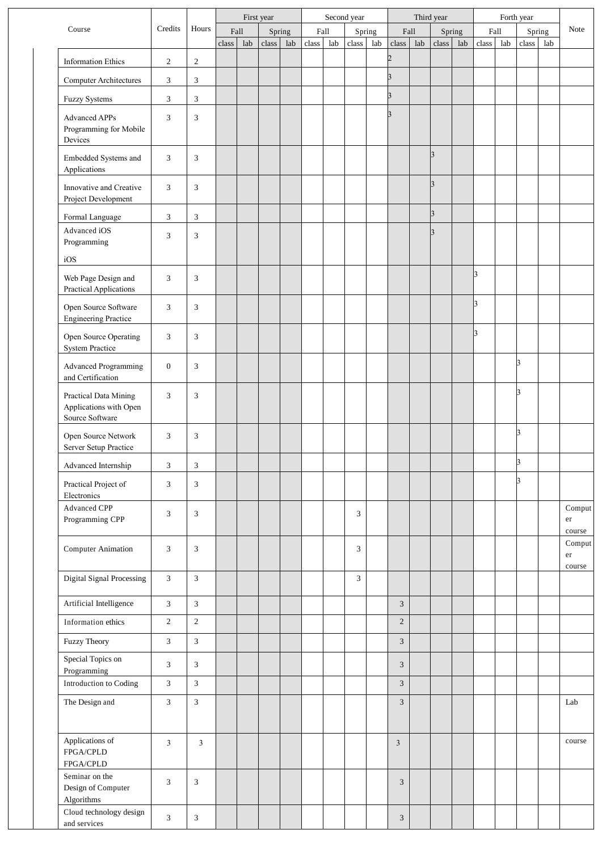|                                                                    |                |                  |       |           | First year |           |       |      | Second year    |     |                |     | Third year |     |       |               | Forth year             |        |                        |
|--------------------------------------------------------------------|----------------|------------------|-------|-----------|------------|-----------|-------|------|----------------|-----|----------------|-----|------------|-----|-------|---------------|------------------------|--------|------------------------|
| Course                                                             | Credits        | Hours            | Fall  |           | Spring     |           |       | Fall | Spring         |     | Fall           |     | Spring     |     |       | $_{\rm Fall}$ |                        | Spring | Note                   |
|                                                                    |                |                  | class | $\rm lab$ | class      | $\rm lab$ | class | lab  | class          | lab | class          | lab | class      | lab | class | lab           | $\operatorname{class}$ | lab    |                        |
| <b>Information Ethics</b>                                          | $\overline{2}$ | $\boldsymbol{2}$ |       |           |            |           |       |      |                |     | $\overline{c}$ |     |            |     |       |               |                        |        |                        |
| <b>Computer Architectures</b>                                      | $\sqrt{3}$     | $\mathfrak{Z}$   |       |           |            |           |       |      |                |     | 3              |     |            |     |       |               |                        |        |                        |
| Fuzzy Systems                                                      | $\sqrt{3}$     | $\mathfrak{Z}$   |       |           |            |           |       |      |                |     | 3              |     |            |     |       |               |                        |        |                        |
| <b>Advanced APPs</b><br>Programming for Mobile<br>Devices          | $\mathfrak{Z}$ | 3                |       |           |            |           |       |      |                |     | 3              |     |            |     |       |               |                        |        |                        |
| Embedded Systems and<br>Applications                               | 3              | 3                |       |           |            |           |       |      |                |     |                |     | 3          |     |       |               |                        |        |                        |
| Innovative and Creative<br>Project Development                     | 3              | 3                |       |           |            |           |       |      |                |     |                |     | 3          |     |       |               |                        |        |                        |
| Formal Language                                                    | $\mathfrak{Z}$ | $\mathfrak{Z}$   |       |           |            |           |       |      |                |     |                |     | 3          |     |       |               |                        |        |                        |
| Advanced iOS<br>Programming<br>iOS                                 | 3              | 3                |       |           |            |           |       |      |                |     |                |     | 3          |     |       |               |                        |        |                        |
| Web Page Design and<br><b>Practical Applications</b>               | 3              | 3                |       |           |            |           |       |      |                |     |                |     |            |     | 3     |               |                        |        |                        |
| Open Source Software<br><b>Engineering Practice</b>                | 3              | 3                |       |           |            |           |       |      |                |     |                |     |            |     | 3     |               |                        |        |                        |
| Open Source Operating<br><b>System Practice</b>                    | $\mathfrak{Z}$ | 3                |       |           |            |           |       |      |                |     |                |     |            |     | 3     |               |                        |        |                        |
| <b>Advanced Programming</b><br>and Certification                   | $\mathbf{0}$   | 3                |       |           |            |           |       |      |                |     |                |     |            |     |       |               | 3                      |        |                        |
| Practical Data Mining<br>Applications with Open<br>Source Software | 3              | 3                |       |           |            |           |       |      |                |     |                |     |            |     |       |               | 3                      |        |                        |
| Open Source Network<br>Server Setup Practice                       | 3              | 3                |       |           |            |           |       |      |                |     |                |     |            |     |       |               | 3                      |        |                        |
| Advanced Internship                                                | $\mathfrak{Z}$ | $\mathfrak{Z}$   |       |           |            |           |       |      |                |     |                |     |            |     |       |               | 3                      |        |                        |
| Practical Project of<br>Electronics                                | 3              | 3                |       |           |            |           |       |      |                |     |                |     |            |     |       |               | 3                      |        |                        |
| Advanced CPP<br>Programming CPP                                    | 3              | $\mathfrak{Z}$   |       |           |            |           |       |      | 3              |     |                |     |            |     |       |               |                        |        | Comput<br>er<br>course |
| Computer Animation                                                 | $\mathfrak{Z}$ | $\mathfrak{Z}$   |       |           |            |           |       |      | 3              |     |                |     |            |     |       |               |                        |        | Comput<br>er<br>course |
| Digital Signal Processing                                          | $\mathfrak{Z}$ | 3                |       |           |            |           |       |      | $\mathfrak{Z}$ |     |                |     |            |     |       |               |                        |        |                        |
| Artificial Intelligence                                            | $\mathfrak{Z}$ | $\mathfrak{Z}$   |       |           |            |           |       |      |                |     | 3              |     |            |     |       |               |                        |        |                        |
| Information ethics                                                 | $\sqrt{2}$     | $\overline{c}$   |       |           |            |           |       |      |                |     | $\sqrt{2}$     |     |            |     |       |               |                        |        |                        |
| Fuzzy Theory                                                       | $\mathfrak{Z}$ | $\overline{3}$   |       |           |            |           |       |      |                |     | 3              |     |            |     |       |               |                        |        |                        |
| Special Topics on                                                  | 3              | 3                |       |           |            |           |       |      |                |     | 3              |     |            |     |       |               |                        |        |                        |
| Programming<br>Introduction to Coding                              | $\mathfrak{Z}$ | $\overline{3}$   |       |           |            |           |       |      |                |     | $\mathfrak{Z}$ |     |            |     |       |               |                        |        |                        |
| The Design and                                                     | $\mathfrak{Z}$ | $\overline{3}$   |       |           |            |           |       |      |                |     | 3              |     |            |     |       |               |                        |        | Lab                    |
| Applications of<br>FPGA/CPLD<br>FPGA/CPLD                          | $\mathfrak{Z}$ | 3                |       |           |            |           |       |      |                |     | 3              |     |            |     |       |               |                        |        | course                 |
| Seminar on the<br>Design of Computer<br>Algorithms                 | $\mathfrak{Z}$ | $\mathfrak{Z}$   |       |           |            |           |       |      |                |     | $\mathfrak{Z}$ |     |            |     |       |               |                        |        |                        |
| Cloud technology design<br>and services                            | 3              | $\mathfrak{Z}$   |       |           |            |           |       |      |                |     | $\mathfrak{Z}$ |     |            |     |       |               |                        |        |                        |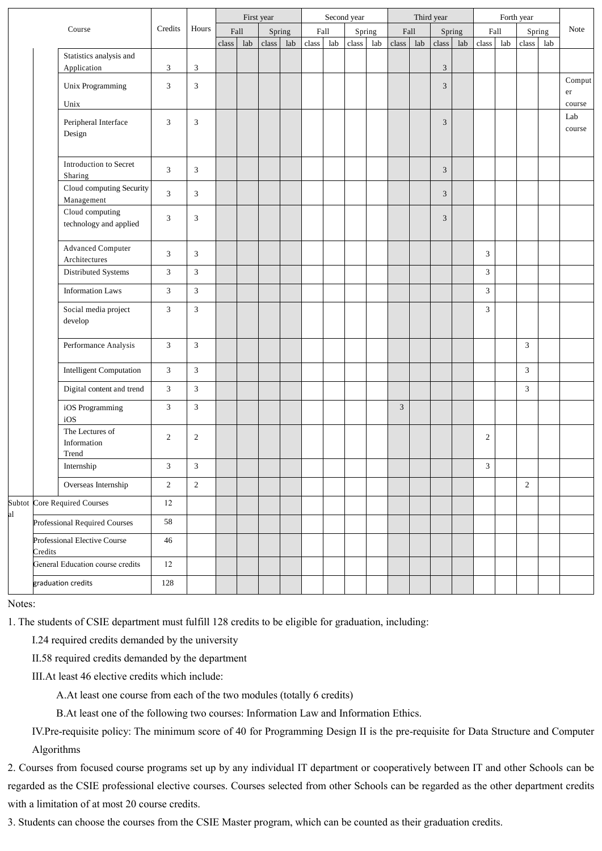|    |         |                                           |                | First year     |                       |     |        |     |               | Second year |                        |     | Third year     |     |            |     |                        |               |                |        |               |
|----|---------|-------------------------------------------|----------------|----------------|-----------------------|-----|--------|-----|---------------|-------------|------------------------|-----|----------------|-----|------------|-----|------------------------|---------------|----------------|--------|---------------|
|    |         | Course                                    | Credits        | Hours          | $\operatorname{Fall}$ |     | Spring |     | $_{\rm Fall}$ |             | Spring                 |     | Fall           |     | Spring     |     |                        | $_{\rm Fall}$ |                | Spring | Note          |
|    |         |                                           |                |                | class                 | lab | class  | lab | class         | lab         | $\operatorname{class}$ | lab | class          | lab | class      | lab | $\operatorname{class}$ | lab           | class          | lab    |               |
|    |         | Statistics analysis and<br>Application    | 3              | 3              |                       |     |        |     |               |             |                        |     |                |     | $\sqrt{3}$ |     |                        |               |                |        |               |
|    |         | Unix Programming                          | 3              | 3              |                       |     |        |     |               |             |                        |     |                |     | 3          |     |                        |               |                |        | Comput<br>er  |
|    |         | Unix                                      |                |                |                       |     |        |     |               |             |                        |     |                |     |            |     |                        |               |                |        | course        |
|    |         | Peripheral Interface<br>Design            | 3              | 3              |                       |     |        |     |               |             |                        |     |                |     | 3          |     |                        |               |                |        | Lab<br>course |
|    |         | Introduction to Secret<br>Sharing         | 3              | 3              |                       |     |        |     |               |             |                        |     |                |     | 3          |     |                        |               |                |        |               |
|    |         | Cloud computing Security<br>Management    | 3              | 3              |                       |     |        |     |               |             |                        |     |                |     | 3          |     |                        |               |                |        |               |
|    |         | Cloud computing<br>technology and applied | 3              | 3              |                       |     |        |     |               |             |                        |     |                |     | 3          |     |                        |               |                |        |               |
|    |         | Advanced Computer<br>Architectures        | 3              | 3              |                       |     |        |     |               |             |                        |     |                |     |            |     | 3                      |               |                |        |               |
|    |         | Distributed Systems                       | $\mathfrak{Z}$ | $\mathfrak{Z}$ |                       |     |        |     |               |             |                        |     |                |     |            |     | $\mathfrak{Z}$         |               |                |        |               |
|    |         | <b>Information Laws</b>                   | 3              | $\mathfrak{Z}$ |                       |     |        |     |               |             |                        |     |                |     |            |     | $\mathfrak{Z}$         |               |                |        |               |
|    |         | Social media project<br>develop           | 3              | $\mathfrak{Z}$ |                       |     |        |     |               |             |                        |     |                |     |            |     | $\mathfrak{Z}$         |               |                |        |               |
|    |         | Performance Analysis                      | 3              | 3              |                       |     |        |     |               |             |                        |     |                |     |            |     |                        |               | 3              |        |               |
|    |         | <b>Intelligent Computation</b>            | 3              | $\mathfrak{Z}$ |                       |     |        |     |               |             |                        |     |                |     |            |     |                        |               | $\mathfrak{Z}$ |        |               |
|    |         | Digital content and trend                 | 3              | $\mathfrak{Z}$ |                       |     |        |     |               |             |                        |     |                |     |            |     |                        |               | $\mathfrak{Z}$ |        |               |
|    |         | iOS Programming<br>iOS                    | 3              | 3              |                       |     |        |     |               |             |                        |     | $\mathfrak{Z}$ |     |            |     |                        |               |                |        |               |
|    |         | The Lectures of<br>Information<br>Trend   | 2              | 2              |                       |     |        |     |               |             |                        |     |                |     |            |     | $\overline{2}$         |               |                |        |               |
|    |         | Internship                                | 3              | 3              |                       |     |        |     |               |             |                        |     |                |     |            |     | 3                      |               |                |        |               |
|    |         | Overseas Internship                       | $\overline{2}$ | $\overline{2}$ |                       |     |        |     |               |             |                        |     |                |     |            |     |                        |               | $\overline{2}$ |        |               |
| ıl |         | Subtot Core Required Courses              | $12\,$         |                |                       |     |        |     |               |             |                        |     |                |     |            |     |                        |               |                |        |               |
|    |         | Professional Required Courses             | 58             |                |                       |     |        |     |               |             |                        |     |                |     |            |     |                        |               |                |        |               |
|    | Credits | Professional Elective Course              | 46             |                |                       |     |        |     |               |             |                        |     |                |     |            |     |                        |               |                |        |               |
|    |         | General Education course credits          | 12             |                |                       |     |        |     |               |             |                        |     |                |     |            |     |                        |               |                |        |               |
|    |         | graduation credits                        | 128            |                |                       |     |        |     |               |             |                        |     |                |     |            |     |                        |               |                |        |               |

Notes:

al

1. The students of CSIE department must fulfill 128 credits to be eligible for graduation, including:

I.24 required credits demanded by the university

II.58 required credits demanded by the department

III.At least 46 elective credits which include:

A.At least one course from each of the two modules (totally 6 credits)

B.At least one of the following two courses: Information Law and Information Ethics.

IV.Pre-requisite policy: The minimum score of 40 for Programming Design II is the pre-requisite for Data Structure and Computer Algorithms

2. Courses from focused course programs set up by any individual IT department or cooperatively between IT and other Schools can be regarded as the CSIE professional elective courses. Courses selected from other Schools can be regarded as the other department credits with a limitation of at most 20 course credits.

3. Students can choose the courses from the CSIE Master program, which can be counted as their graduation credits.